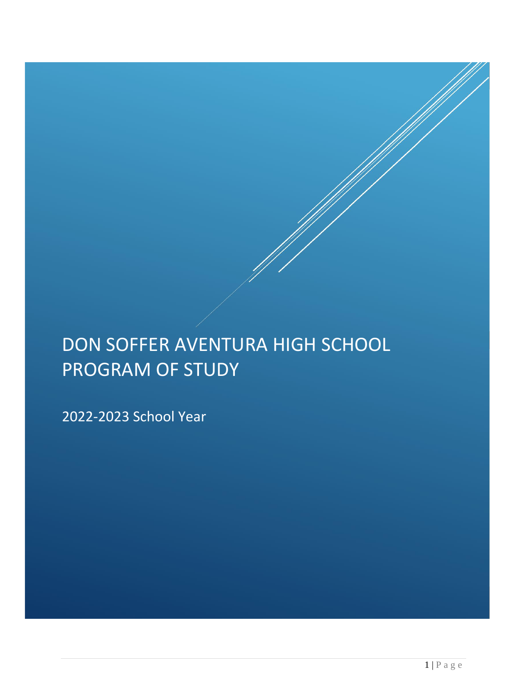# DON SOFFER AVENTURA HIGH SCHOOL PROGRAM OF STUDY

2022-2023 School Year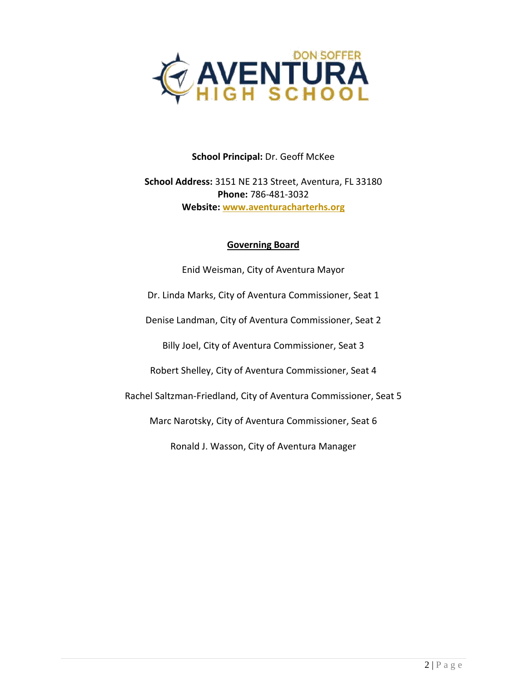

## **School Principal:** Dr. Geoff McKee

# **School Address:** 3151 NE 213 Street, Aventura, FL 33180 **Phone:** 786-481-3032 **Website[: www.aventuracharterhs.org](http://www.aventuracharterhs.org/)**

#### **Governing Board**

Enid Weisman, City of Aventura Mayor Dr. Linda Marks, City of Aventura Commissioner, Seat 1 Denise Landman, City of Aventura Commissioner, Seat 2 Billy Joel, City of Aventura Commissioner, Seat 3 Robert Shelley, City of Aventura Commissioner, Seat 4 Rachel Saltzman-Friedland, City of Aventura Commissioner, Seat 5 Marc Narotsky, City of Aventura Commissioner, Seat 6 Ronald J. Wasson, City of Aventura Manager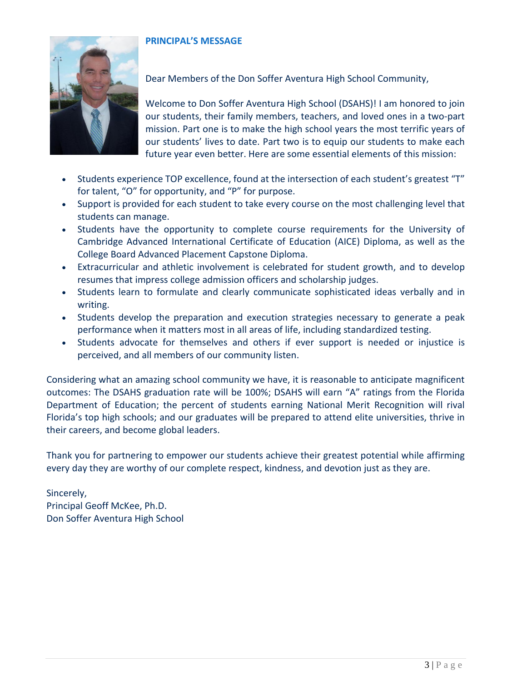#### **PRINCIPAL'S MESSAGE**



Dear Members of the Don Soffer Aventura High School Community,

Welcome to Don Soffer Aventura High School (DSAHS)! I am honored to join our students, their family members, teachers, and loved ones in a two-part mission. Part one is to make the high school years the most terrific years of our students' lives to date. Part two is to equip our students to make each future year even better. Here are some essential elements of this mission:

- Students experience TOP excellence, found at the intersection of each student's greatest "T" for talent, "O" for opportunity, and "P" for purpose.
- Support is provided for each student to take every course on the most challenging level that students can manage.
- Students have the opportunity to complete course requirements for the University of Cambridge Advanced International Certificate of Education (AICE) Diploma, as well as the College Board Advanced Placement Capstone Diploma.
- Extracurricular and athletic involvement is celebrated for student growth, and to develop resumes that impress college admission officers and scholarship judges.
- Students learn to formulate and clearly communicate sophisticated ideas verbally and in writing.
- Students develop the preparation and execution strategies necessary to generate a peak performance when it matters most in all areas of life, including standardized testing.
- Students advocate for themselves and others if ever support is needed or injustice is perceived, and all members of our community listen.

Considering what an amazing school community we have, it is reasonable to anticipate magnificent outcomes: The DSAHS graduation rate will be 100%; DSAHS will earn "A" ratings from the Florida Department of Education; the percent of students earning National Merit Recognition will rival Florida's top high schools; and our graduates will be prepared to attend elite universities, thrive in their careers, and become global leaders.

Thank you for partnering to empower our students achieve their greatest potential while affirming every day they are worthy of our complete respect, kindness, and devotion just as they are.

Sincerely, Principal Geoff McKee, Ph.D. Don Soffer Aventura High School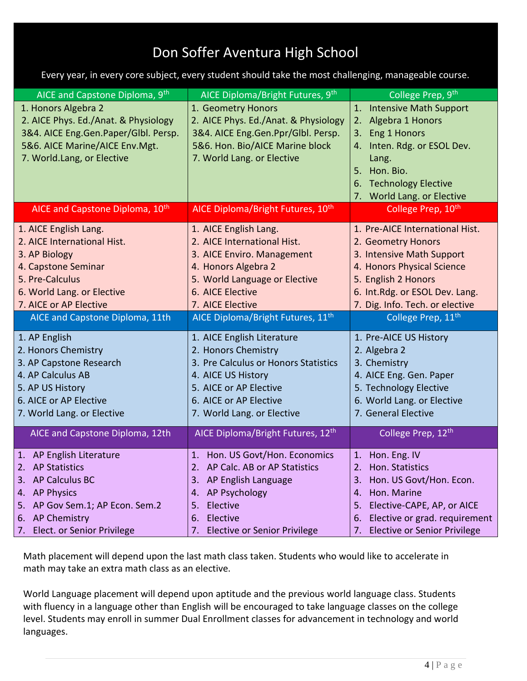# Don Soffer Aventura High School

Every year, in every core subject, every student should take the most challenging, manageable course.

| AICE and Capstone Diploma, 9th              | AICE Diploma/Bright Futures, 9th              | College Prep, 9th                         |
|---------------------------------------------|-----------------------------------------------|-------------------------------------------|
| 1. Honors Algebra 2                         | 1. Geometry Honors                            | 1. Intensive Math Support                 |
| 2. AICE Phys. Ed./Anat. & Physiology        | 2. AICE Phys. Ed./Anat. & Physiology          | 2. Algebra 1 Honors                       |
| 3&4. AICE Eng.Gen.Paper/Glbl. Persp.        | 3&4. AICE Eng.Gen.Ppr/Glbl. Persp.            | Eng 1 Honors<br>3.                        |
| 5&6. AICE Marine/AICE Env.Mgt.              | 5&6. Hon. Bio/AICE Marine block               | 4. Inten. Rdg. or ESOL Dev.               |
| 7. World.Lang, or Elective                  | 7. World Lang. or Elective                    | Lang.                                     |
|                                             |                                               | 5. Hon. Bio.                              |
|                                             |                                               | 6. Technology Elective                    |
|                                             |                                               | 7. World Lang. or Elective                |
| AICE and Capstone Diploma, 10 <sup>th</sup> | AICE Diploma/Bright Futures, 10 <sup>th</sup> | College Prep, 10 <sup>th</sup>            |
| 1. AICE English Lang.                       | 1. AICE English Lang.                         | 1. Pre-AICE International Hist.           |
| 2. AICE International Hist.                 | 2. AICE International Hist.                   | 2. Geometry Honors                        |
| 3. AP Biology                               | 3. AICE Enviro. Management                    | 3. Intensive Math Support                 |
| 4. Capstone Seminar                         | 4. Honors Algebra 2                           | 4. Honors Physical Science                |
| 5. Pre-Calculus                             | 5. World Language or Elective                 | 5. English 2 Honors                       |
| 6. World Lang. or Elective                  | 6. AICE Elective                              | 6. Int.Rdg. or ESOL Dev. Lang.            |
| 7. AICE or AP Elective                      | 7. AICE Elective                              | 7. Dig. Info. Tech. or elective           |
| AICE and Capstone Diploma, 11th             | AICE Diploma/Bright Futures, 11 <sup>th</sup> | College Prep, 11th                        |
| 1. AP English                               | 1. AICE English Literature                    | 1. Pre-AICE US History                    |
| 2. Honors Chemistry                         | 2. Honors Chemistry                           | 2. Algebra 2                              |
| 3. AP Capstone Research                     | 3. Pre Calculus or Honors Statistics          | 3. Chemistry                              |
| 4. AP Calculus AB                           | 4. AICE US History                            | 4. AICE Eng. Gen. Paper                   |
| 5. AP US History                            | 5. AICE or AP Elective                        | 5. Technology Elective                    |
| 6. AICE or AP Elective                      | 6. AICE or AP Elective                        | 6. World Lang. or Elective                |
| 7. World Lang. or Elective                  | 7. World Lang. or Elective                    | 7. General Elective                       |
| AICE and Capstone Diploma, 12th             | AICE Diploma/Bright Futures, 12 <sup>th</sup> | College Prep, 12th                        |
| 1. AP English Literature                    | 1. Hon. US Govt/Hon. Economics                | 1. Hon. Eng. IV                           |
| 2. AP Statistics                            | 2. AP Calc. AB or AP Statistics               | 2. Hon. Statistics                        |
| <b>AP Calculus BC</b><br>З.                 | 3. AP English Language                        | Hon. US Govt/Hon. Econ.<br>3.             |
| <b>AP Physics</b><br>4.                     | <b>AP Psychology</b><br>4.                    | Hon. Marine<br>4.                         |
| AP Gov Sem.1; AP Econ. Sem.2<br>5.          | Elective<br>5.                                | Elective-CAPE, AP, or AICE<br>5.          |
| <b>AP Chemistry</b><br>6.                   | Elective<br>6.                                | Elective or grad. requirement<br>6.       |
| Elect. or Senior Privilege<br>7.            | <b>Elective or Senior Privilege</b><br>7.     | <b>Elective or Senior Privilege</b><br>7. |

Math placement will depend upon the last math class taken. Students who would like to accelerate in math may take an extra math class as an elective.

World Language placement will depend upon aptitude and the previous world language class. Students with fluency in a language other than English will be encouraged to take language classes on the college level. Students may enroll in summer Dual Enrollment classes for advancement in technology and world languages.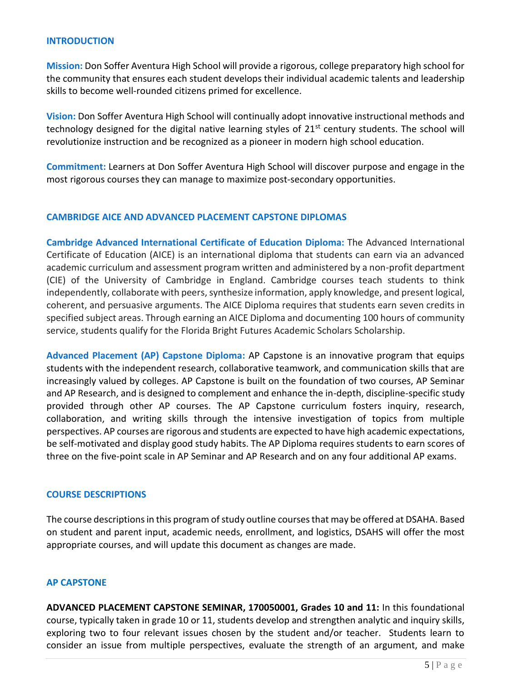#### **INTRODUCTION**

**Mission:** Don Soffer Aventura High School will provide a rigorous, college preparatory high school for the community that ensures each student develops their individual academic talents and leadership skills to become well-rounded citizens primed for excellence.

**Vision:** Don Soffer Aventura High School will continually adopt innovative instructional methods and technology designed for the digital native learning styles of 21<sup>st</sup> century students. The school will revolutionize instruction and be recognized as a pioneer in modern high school education.

**Commitment:** Learners at Don Soffer Aventura High School will discover purpose and engage in the most rigorous courses they can manage to maximize post-secondary opportunities.

#### **CAMBRIDGE AICE AND ADVANCED PLACEMENT CAPSTONE DIPLOMAS**

**Cambridge Advanced International Certificate of Education Diploma:** The Advanced International Certificate of Education (AICE) is an international diploma that students can earn via an advanced academic curriculum and assessment program written and administered by a non-profit department (CIE) of the University of Cambridge in England. Cambridge courses teach students to think independently, collaborate with peers, synthesize information, apply knowledge, and present logical, coherent, and persuasive arguments. The AICE Diploma requires that students earn seven credits in specified subject areas. Through earning an AICE Diploma and documenting 100 hours of community service, students qualify for the Florida Bright Futures Academic Scholars Scholarship.

**Advanced Placement (AP) Capstone Diploma:** AP Capstone is an innovative program that equips students with the independent research, collaborative teamwork, and communication skills that are increasingly valued by colleges. AP Capstone is built on the foundation of two courses, AP Seminar and AP Research, and is designed to complement and enhance the in-depth, discipline-specific study provided through other AP courses. The AP Capstone curriculum fosters inquiry, research, collaboration, and writing skills through the intensive investigation of topics from multiple perspectives. AP courses are rigorous and students are expected to have high academic expectations, be self-motivated and display good study habits. The AP Diploma requires students to earn scores of three on the five-point scale in AP Seminar and AP Research and on any four additional AP exams.

#### **COURSE DESCRIPTIONS**

The course descriptions in this program of study outline courses that may be offered at DSAHA. Based on student and parent input, academic needs, enrollment, and logistics, DSAHS will offer the most appropriate courses, and will update this document as changes are made.

#### **AP CAPSTONE**

**ADVANCED PLACEMENT CAPSTONE SEMINAR, 170050001, Grades 10 and 11:** In this foundational course, typically taken in grade 10 or 11, students develop and strengthen analytic and inquiry skills, exploring two to four relevant issues chosen by the student and/or teacher. Students learn to consider an issue from multiple perspectives, evaluate the strength of an argument, and make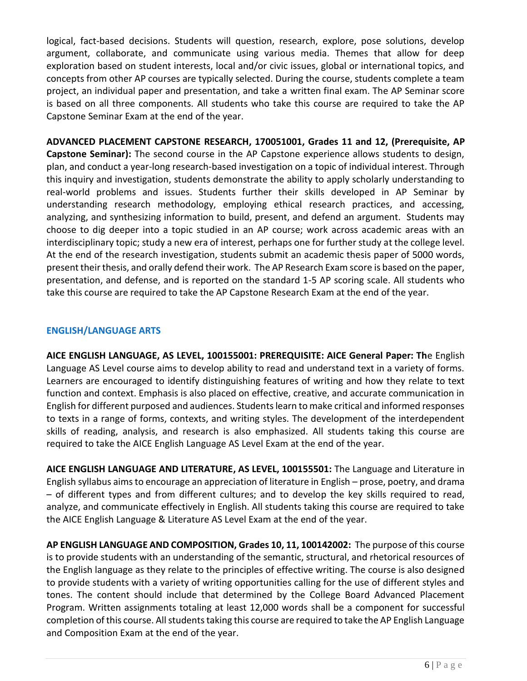logical, fact-based decisions. Students will question, research, explore, pose solutions, develop argument, collaborate, and communicate using various media. Themes that allow for deep exploration based on student interests, local and/or civic issues, global or international topics, and concepts from other AP courses are typically selected. During the course, students complete a team project, an individual paper and presentation, and take a written final exam. The AP Seminar score is based on all three components. All students who take this course are required to take the AP Capstone Seminar Exam at the end of the year.

**ADVANCED PLACEMENT CAPSTONE RESEARCH, 170051001, Grades 11 and 12, (Prerequisite, AP Capstone Seminar):** The second course in the AP Capstone experience allows students to design, plan, and conduct a year-long research-based investigation on a topic of individual interest. Through this inquiry and investigation, students demonstrate the ability to apply scholarly understanding to real-world problems and issues. Students further their skills developed in AP Seminar by understanding research methodology, employing ethical research practices, and accessing, analyzing, and synthesizing information to build, present, and defend an argument. Students may choose to dig deeper into a topic studied in an AP course; work across academic areas with an interdisciplinary topic; study a new era of interest, perhaps one for further study at the college level. At the end of the research investigation, students submit an academic thesis paper of 5000 words, present their thesis, and orally defend their work. The AP Research Exam score is based on the paper, presentation, and defense, and is reported on the standard 1-5 AP scoring scale. All students who take this course are required to take the AP Capstone Research Exam at the end of the year.

## **ENGLISH/LANGUAGE ARTS**

**AICE ENGLISH LANGUAGE, AS LEVEL, 100155001: PREREQUISITE: AICE General Paper: Th**e English Language AS Level course aims to develop ability to read and understand text in a variety of forms. Learners are encouraged to identify distinguishing features of writing and how they relate to text function and context. Emphasis is also placed on effective, creative, and accurate communication in English for different purposed and audiences. Students learn to make critical and informed responses to texts in a range of forms, contexts, and writing styles. The development of the interdependent skills of reading, analysis, and research is also emphasized. All students taking this course are required to take the AICE English Language AS Level Exam at the end of the year.

**AICE ENGLISH LANGUAGE AND LITERATURE, AS LEVEL, 100155501:** The Language and Literature in English syllabus aims to encourage an appreciation of literature in English – prose, poetry, and drama – of different types and from different cultures; and to develop the key skills required to read, analyze, and communicate effectively in English. All students taking this course are required to take the AICE English Language & Literature AS Level Exam at the end of the year.

**AP ENGLISH LANGUAGE AND COMPOSITION, Grades 10, 11, 100142002:** The purpose of this course is to provide students with an understanding of the semantic, structural, and rhetorical resources of the English language as they relate to the principles of effective writing. The course is also designed to provide students with a variety of writing opportunities calling for the use of different styles and tones. The content should include that determined by the College Board Advanced Placement Program. Written assignments totaling at least 12,000 words shall be a component for successful completion of this course. All students taking this course are required to take the AP English Language and Composition Exam at the end of the year.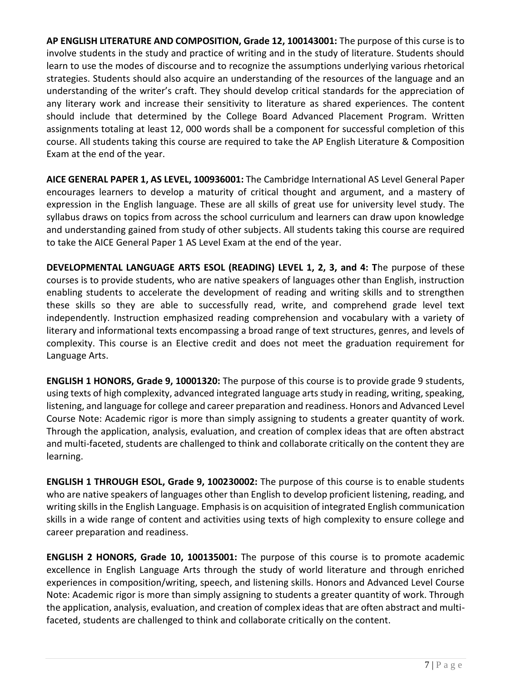**AP ENGLISH LITERATURE AND COMPOSITION, Grade 12, 100143001:** The purpose of this curse is to involve students in the study and practice of writing and in the study of literature. Students should learn to use the modes of discourse and to recognize the assumptions underlying various rhetorical strategies. Students should also acquire an understanding of the resources of the language and an understanding of the writer's craft. They should develop critical standards for the appreciation of any literary work and increase their sensitivity to literature as shared experiences. The content should include that determined by the College Board Advanced Placement Program. Written assignments totaling at least 12, 000 words shall be a component for successful completion of this course. All students taking this course are required to take the AP English Literature & Composition Exam at the end of the year.

**AICE GENERAL PAPER 1, AS LEVEL, 100936001:** The Cambridge International AS Level General Paper encourages learners to develop a maturity of critical thought and argument, and a mastery of expression in the English language. These are all skills of great use for university level study. The syllabus draws on topics from across the school curriculum and learners can draw upon knowledge and understanding gained from study of other subjects. All students taking this course are required to take the AICE General Paper 1 AS Level Exam at the end of the year.

**DEVELOPMENTAL LANGUAGE ARTS ESOL (READING) LEVEL 1, 2, 3, and 4: T**he purpose of these courses is to provide students, who are native speakers of languages other than English, instruction enabling students to accelerate the development of reading and writing skills and to strengthen these skills so they are able to successfully read, write, and comprehend grade level text independently. Instruction emphasized reading comprehension and vocabulary with a variety of literary and informational texts encompassing a broad range of text structures, genres, and levels of complexity. This course is an Elective credit and does not meet the graduation requirement for Language Arts.

**ENGLISH 1 HONORS, Grade 9, 10001320:** The purpose of this course is to provide grade 9 students, using texts of high complexity, advanced integrated language arts study in reading, writing, speaking, listening, and language for college and career preparation and readiness. Honors and Advanced Level Course Note: Academic rigor is more than simply assigning to students a greater quantity of work. Through the application, analysis, evaluation, and creation of complex ideas that are often abstract and multi-faceted, students are challenged to think and collaborate critically on the content they are learning.

**ENGLISH 1 THROUGH ESOL, Grade 9, 100230002:** The purpose of this course is to enable students who are native speakers of languages other than English to develop proficient listening, reading, and writing skills in the English Language. Emphasis is on acquisition of integrated English communication skills in a wide range of content and activities using texts of high complexity to ensure college and career preparation and readiness.

**ENGLISH 2 HONORS, Grade 10, 100135001:** The purpose of this course is to promote academic excellence in English Language Arts through the study of world literature and through enriched experiences in composition/writing, speech, and listening skills. Honors and Advanced Level Course Note: Academic rigor is more than simply assigning to students a greater quantity of work. Through the application, analysis, evaluation, and creation of complex ideas that are often abstract and multifaceted, students are challenged to think and collaborate critically on the content.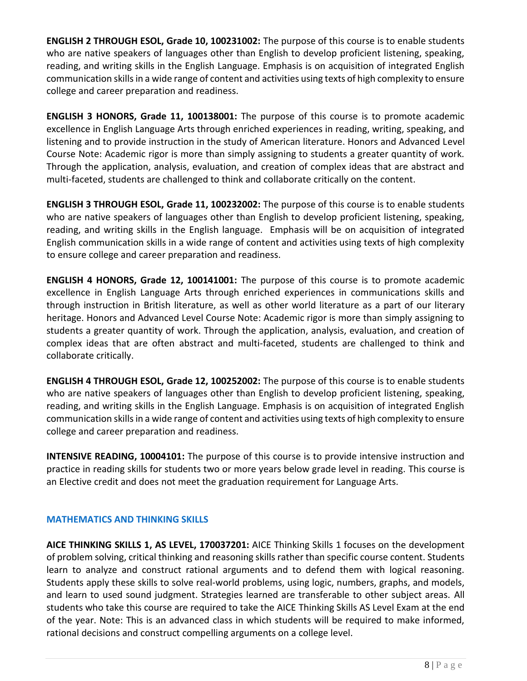**ENGLISH 2 THROUGH ESOL, Grade 10, 100231002:** The purpose of this course is to enable students who are native speakers of languages other than English to develop proficient listening, speaking, reading, and writing skills in the English Language. Emphasis is on acquisition of integrated English communication skills in a wide range of content and activities using texts of high complexity to ensure college and career preparation and readiness.

**ENGLISH 3 HONORS, Grade 11, 100138001:** The purpose of this course is to promote academic excellence in English Language Arts through enriched experiences in reading, writing, speaking, and listening and to provide instruction in the study of American literature. Honors and Advanced Level Course Note: Academic rigor is more than simply assigning to students a greater quantity of work. Through the application, analysis, evaluation, and creation of complex ideas that are abstract and multi-faceted, students are challenged to think and collaborate critically on the content.

**ENGLISH 3 THROUGH ESOL, Grade 11, 100232002:** The purpose of this course is to enable students who are native speakers of languages other than English to develop proficient listening, speaking, reading, and writing skills in the English language. Emphasis will be on acquisition of integrated English communication skills in a wide range of content and activities using texts of high complexity to ensure college and career preparation and readiness.

**ENGLISH 4 HONORS, Grade 12, 100141001:** The purpose of this course is to promote academic excellence in English Language Arts through enriched experiences in communications skills and through instruction in British literature, as well as other world literature as a part of our literary heritage. Honors and Advanced Level Course Note: Academic rigor is more than simply assigning to students a greater quantity of work. Through the application, analysis, evaluation, and creation of complex ideas that are often abstract and multi-faceted, students are challenged to think and collaborate critically.

**ENGLISH 4 THROUGH ESOL, Grade 12, 100252002:** The purpose of this course is to enable students who are native speakers of languages other than English to develop proficient listening, speaking, reading, and writing skills in the English Language. Emphasis is on acquisition of integrated English communication skills in a wide range of content and activities using texts of high complexity to ensure college and career preparation and readiness.

**INTENSIVE READING, 10004101:** The purpose of this course is to provide intensive instruction and practice in reading skills for students two or more years below grade level in reading. This course is an Elective credit and does not meet the graduation requirement for Language Arts.

# **MATHEMATICS AND THINKING SKILLS**

**AICE THINKING SKILLS 1, AS LEVEL, 170037201:** AICE Thinking Skills 1 focuses on the development of problem solving, critical thinking and reasoning skills rather than specific course content. Students learn to analyze and construct rational arguments and to defend them with logical reasoning. Students apply these skills to solve real-world problems, using logic, numbers, graphs, and models, and learn to used sound judgment. Strategies learned are transferable to other subject areas. All students who take this course are required to take the AICE Thinking Skills AS Level Exam at the end of the year. Note: This is an advanced class in which students will be required to make informed, rational decisions and construct compelling arguments on a college level.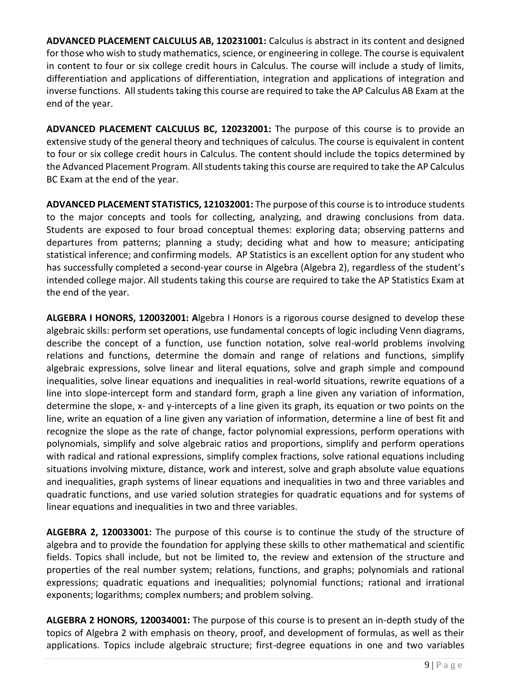**ADVANCED PLACEMENT CALCULUS AB, 120231001:** Calculus is abstract in its content and designed for those who wish to study mathematics, science, or engineering in college. The course is equivalent in content to four or six college credit hours in Calculus. The course will include a study of limits, differentiation and applications of differentiation, integration and applications of integration and inverse functions. All students taking this course are required to take the AP Calculus AB Exam at the end of the year.

**ADVANCED PLACEMENT CALCULUS BC, 120232001:** The purpose of this course is to provide an extensive study of the general theory and techniques of calculus. The course is equivalent in content to four or six college credit hours in Calculus. The content should include the topics determined by the Advanced Placement Program. All students taking this course are required to take the AP Calculus BC Exam at the end of the year.

**ADVANCED PLACEMENT STATISTICS, 121032001:** The purpose of this course is to introduce students to the major concepts and tools for collecting, analyzing, and drawing conclusions from data. Students are exposed to four broad conceptual themes: exploring data; observing patterns and departures from patterns; planning a study; deciding what and how to measure; anticipating statistical inference; and confirming models. AP Statistics is an excellent option for any student who has successfully completed a second-year course in Algebra (Algebra 2), regardless of the student's intended college major. All students taking this course are required to take the AP Statistics Exam at the end of the year.

**ALGEBRA I HONORS, 120032001: A**lgebra I Honors is a rigorous course designed to develop these algebraic skills: perform set operations, use fundamental concepts of logic including Venn diagrams, describe the concept of a function, use function notation, solve real-world problems involving relations and functions, determine the domain and range of relations and functions, simplify algebraic expressions, solve linear and literal equations, solve and graph simple and compound inequalities, solve linear equations and inequalities in real-world situations, rewrite equations of a line into slope-intercept form and standard form, graph a line given any variation of information, determine the slope, x- and y-intercepts of a line given its graph, its equation or two points on the line, write an equation of a line given any variation of information, determine a line of best fit and recognize the slope as the rate of change, factor polynomial expressions, perform operations with polynomials, simplify and solve algebraic ratios and proportions, simplify and perform operations with radical and rational expressions, simplify complex fractions, solve rational equations including situations involving mixture, distance, work and interest, solve and graph absolute value equations and inequalities, graph systems of linear equations and inequalities in two and three variables and quadratic functions, and use varied solution strategies for quadratic equations and for systems of linear equations and inequalities in two and three variables.

**ALGEBRA 2, 120033001:** The purpose of this course is to continue the study of the structure of algebra and to provide the foundation for applying these skills to other mathematical and scientific fields. Topics shall include, but not be limited to, the review and extension of the structure and properties of the real number system; relations, functions, and graphs; polynomials and rational expressions; quadratic equations and inequalities; polynomial functions; rational and irrational exponents; logarithms; complex numbers; and problem solving.

**ALGEBRA 2 HONORS, 120034001:** The purpose of this course is to present an in-depth study of the topics of Algebra 2 with emphasis on theory, proof, and development of formulas, as well as their applications. Topics include algebraic structure; first-degree equations in one and two variables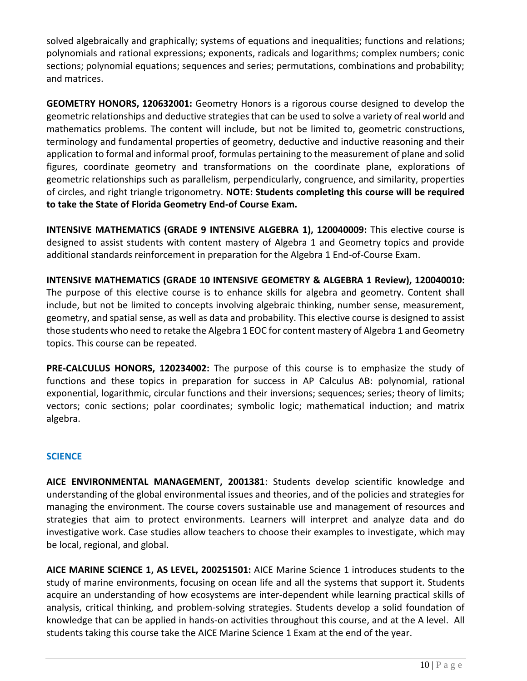solved algebraically and graphically; systems of equations and inequalities; functions and relations; polynomials and rational expressions; exponents, radicals and logarithms; complex numbers; conic sections; polynomial equations; sequences and series; permutations, combinations and probability; and matrices.

**GEOMETRY HONORS, 120632001:** Geometry Honors is a rigorous course designed to develop the geometric relationships and deductive strategies that can be used to solve a variety of real world and mathematics problems. The content will include, but not be limited to, geometric constructions, terminology and fundamental properties of geometry, deductive and inductive reasoning and their application to formal and informal proof, formulas pertaining to the measurement of plane and solid figures, coordinate geometry and transformations on the coordinate plane, explorations of geometric relationships such as parallelism, perpendicularly, congruence, and similarity, properties of circles, and right triangle trigonometry. **NOTE: Students completing this course will be required to take the State of Florida Geometry End-of Course Exam.**

**INTENSIVE MATHEMATICS (GRADE 9 INTENSIVE ALGEBRA 1), 120040009:** This elective course is designed to assist students with content mastery of Algebra 1 and Geometry topics and provide additional standards reinforcement in preparation for the Algebra 1 End-of-Course Exam.

**INTENSIVE MATHEMATICS (GRADE 10 INTENSIVE GEOMETRY & ALGEBRA 1 Review), 120040010:**  The purpose of this elective course is to enhance skills for algebra and geometry. Content shall include, but not be limited to concepts involving algebraic thinking, number sense, measurement, geometry, and spatial sense, as well as data and probability. This elective course is designed to assist those students who need to retake the Algebra 1 EOC for content mastery of Algebra 1 and Geometry topics. This course can be repeated.

**PRE-CALCULUS HONORS, 120234002:** The purpose of this course is to emphasize the study of functions and these topics in preparation for success in AP Calculus AB: polynomial, rational exponential, logarithmic, circular functions and their inversions; sequences; series; theory of limits; vectors; conic sections; polar coordinates; symbolic logic; mathematical induction; and matrix algebra.

# **SCIENCE**

**AICE ENVIRONMENTAL MANAGEMENT, 2001381**: Students develop scientific knowledge and understanding of the global environmental issues and theories, and of the policies and strategies for managing the environment. The course covers sustainable use and management of resources and strategies that aim to protect environments. Learners will interpret and analyze data and do investigative work. Case studies allow teachers to choose their examples to investigate, which may be local, regional, and global.

**AICE MARINE SCIENCE 1, AS LEVEL, 200251501:** AICE Marine Science 1 introduces students to the study of marine environments, focusing on ocean life and all the systems that support it. Students acquire an understanding of how ecosystems are inter-dependent while learning practical skills of analysis, critical thinking, and problem-solving strategies. Students develop a solid foundation of knowledge that can be applied in hands-on activities throughout this course, and at the A level. All students taking this course take the AICE Marine Science 1 Exam at the end of the year.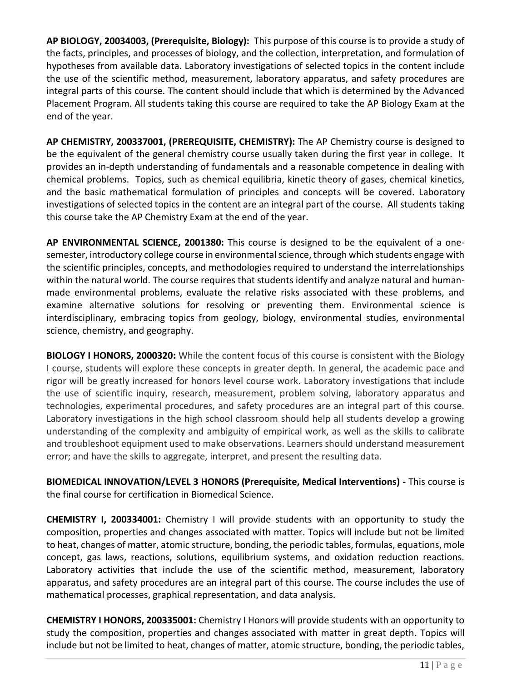**AP BIOLOGY, 20034003, (Prerequisite, Biology):** This purpose of this course is to provide a study of the facts, principles, and processes of biology, and the collection, interpretation, and formulation of hypotheses from available data. Laboratory investigations of selected topics in the content include the use of the scientific method, measurement, laboratory apparatus, and safety procedures are integral parts of this course. The content should include that which is determined by the Advanced Placement Program. All students taking this course are required to take the AP Biology Exam at the end of the year.

**AP CHEMISTRY, 200337001, (PREREQUISITE, CHEMISTRY):** The AP Chemistry course is designed to be the equivalent of the general chemistry course usually taken during the first year in college. It provides an in-depth understanding of fundamentals and a reasonable competence in dealing with chemical problems. Topics, such as chemical equilibria, kinetic theory of gases, chemical kinetics, and the basic mathematical formulation of principles and concepts will be covered. Laboratory investigations of selected topics in the content are an integral part of the course. All students taking this course take the AP Chemistry Exam at the end of the year.

**AP ENVIRONMENTAL SCIENCE, 2001380:** This course is designed to be the equivalent of a onesemester, introductory college course in environmental science, through which students engage with the scientific principles, concepts, and methodologies required to understand the interrelationships within the natural world. The course requires that students identify and analyze natural and humanmade environmental problems, evaluate the relative risks associated with these problems, and examine alternative solutions for resolving or preventing them. Environmental science is interdisciplinary, embracing topics from geology, biology, environmental studies, environmental science, chemistry, and geography.

**BIOLOGY I HONORS, 2000320:** While the content focus of this course is consistent with the Biology I course, students will explore these concepts in greater depth. In general, the academic pace and rigor will be greatly increased for honors level course work. Laboratory investigations that include the use of scientific inquiry, research, measurement, problem solving, laboratory apparatus and technologies, experimental procedures, and safety procedures are an integral part of this course. Laboratory investigations in the high school classroom should help all students develop a growing understanding of the complexity and ambiguity of empirical work, as well as the skills to calibrate and troubleshoot equipment used to make observations. Learners should understand measurement error; and have the skills to aggregate, interpret, and present the resulting data.

**BIOMEDICAL INNOVATION/LEVEL 3 HONORS (Prerequisite, Medical Interventions) -** This course is the final course for certification in Biomedical Science.

**CHEMISTRY I, 200334001:** Chemistry I will provide students with an opportunity to study the composition, properties and changes associated with matter. Topics will include but not be limited to heat, changes of matter, atomic structure, bonding, the periodic tables, formulas, equations, mole concept, gas laws, reactions, solutions, equilibrium systems, and oxidation reduction reactions. Laboratory activities that include the use of the scientific method, measurement, laboratory apparatus, and safety procedures are an integral part of this course. The course includes the use of mathematical processes, graphical representation, and data analysis.

**CHEMISTRY I HONORS, 200335001:** Chemistry I Honors will provide students with an opportunity to study the composition, properties and changes associated with matter in great depth. Topics will include but not be limited to heat, changes of matter, atomic structure, bonding, the periodic tables,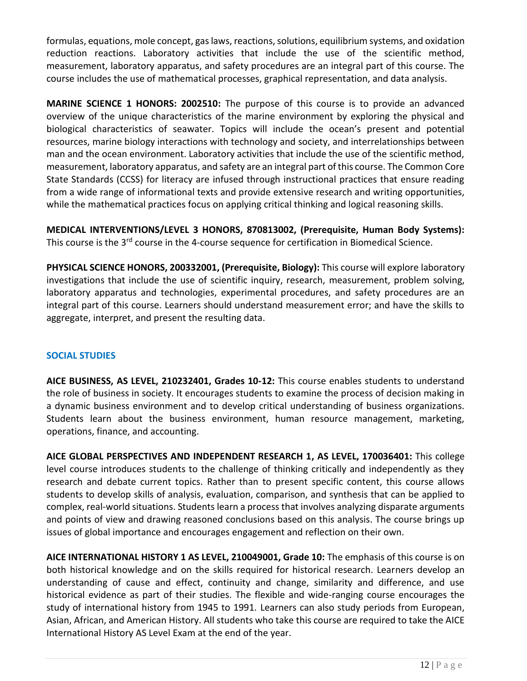formulas, equations, mole concept, gas laws, reactions, solutions, equilibrium systems, and oxidation reduction reactions. Laboratory activities that include the use of the scientific method, measurement, laboratory apparatus, and safety procedures are an integral part of this course. The course includes the use of mathematical processes, graphical representation, and data analysis.

**MARINE SCIENCE 1 HONORS: 2002510:** The purpose of this course is to provide an advanced overview of the unique characteristics of the marine environment by exploring the physical and biological characteristics of seawater. Topics will include the ocean's present and potential resources, marine biology interactions with technology and society, and interrelationships between man and the ocean environment. Laboratory activities that include the use of the scientific method, measurement, laboratory apparatus, and safety are an integral part of this course. The Common Core State Standards (CCSS) for literacy are infused through instructional practices that ensure reading from a wide range of informational texts and provide extensive research and writing opportunities, while the mathematical practices focus on applying critical thinking and logical reasoning skills.

**MEDICAL INTERVENTIONS/LEVEL 3 HONORS, 870813002, (Prerequisite, Human Body Systems):**  This course is the 3<sup>rd</sup> course in the 4-course sequence for certification in Biomedical Science.

**PHYSICAL SCIENCE HONORS, 200332001, (Prerequisite, Biology):** This course will explore laboratory investigations that include the use of scientific inquiry, research, measurement, problem solving, laboratory apparatus and technologies, experimental procedures, and safety procedures are an integral part of this course. Learners should understand measurement error; and have the skills to aggregate, interpret, and present the resulting data.

#### **SOCIAL STUDIES**

**AICE BUSINESS, AS LEVEL, 210232401, Grades 10-12:** This course enables students to understand the role of business in society. It encourages students to examine the process of decision making in a dynamic business environment and to develop critical understanding of business organizations. Students learn about the business environment, human resource management, marketing, operations, finance, and accounting.

**AICE GLOBAL PERSPECTIVES AND INDEPENDENT RESEARCH 1, AS LEVEL, 170036401:** This college level course introduces students to the challenge of thinking critically and independently as they research and debate current topics. Rather than to present specific content, this course allows students to develop skills of analysis, evaluation, comparison, and synthesis that can be applied to complex, real-world situations. Students learn a process that involves analyzing disparate arguments and points of view and drawing reasoned conclusions based on this analysis. The course brings up issues of global importance and encourages engagement and reflection on their own.

**AICE INTERNATIONAL HISTORY 1 AS LEVEL, 210049001, Grade 10:** The emphasis of this course is on both historical knowledge and on the skills required for historical research. Learners develop an understanding of cause and effect, continuity and change, similarity and difference, and use historical evidence as part of their studies. The flexible and wide-ranging course encourages the study of international history from 1945 to 1991. Learners can also study periods from European, Asian, African, and American History. All students who take this course are required to take the AICE International History AS Level Exam at the end of the year.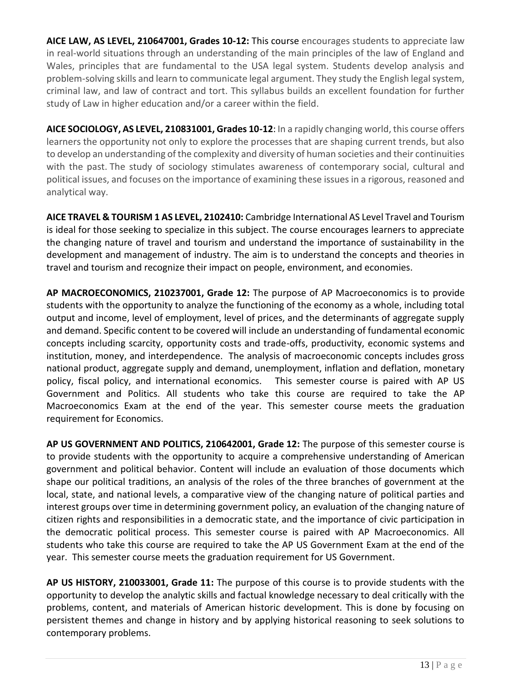**AICE LAW, AS LEVEL, 210647001, Grades 10-12:** This course encourages students to appreciate law in real-world situations through an understanding of the main principles of the law of England and Wales, principles that are fundamental to the USA legal system. Students develop analysis and problem-solving skills and learn to communicate legal argument. They study the English legal system, criminal law, and law of contract and tort. This syllabus builds an excellent foundation for further study of Law in higher education and/or a career within the field.

**AICE SOCIOLOGY, AS LEVEL, 210831001, Grades 10-12**: In a rapidly changing world, this course offers learners the opportunity not only to explore the processes that are shaping current trends, but also to develop an understanding of the complexity and diversity of human societies and their continuities with the past. The study of sociology stimulates awareness of contemporary social, cultural and political issues, and focuses on the importance of examining these issues in a rigorous, reasoned and analytical way.

**AICE TRAVEL & TOURISM 1 AS LEVEL, 2102410:** Cambridge International AS Level Travel and Tourism is ideal for those seeking to specialize in this subject. The course encourages learners to appreciate the changing nature of travel and tourism and understand the importance of sustainability in the development and management of industry. The aim is to understand the concepts and theories in travel and tourism and recognize their impact on people, environment, and economies.

**AP MACROECONOMICS, 210237001, Grade 12:** The purpose of AP Macroeconomics is to provide students with the opportunity to analyze the functioning of the economy as a whole, including total output and income, level of employment, level of prices, and the determinants of aggregate supply and demand. Specific content to be covered will include an understanding of fundamental economic concepts including scarcity, opportunity costs and trade-offs, productivity, economic systems and institution, money, and interdependence. The analysis of macroeconomic concepts includes gross national product, aggregate supply and demand, unemployment, inflation and deflation, monetary policy, fiscal policy, and international economics. This semester course is paired with AP US Government and Politics. All students who take this course are required to take the AP Macroeconomics Exam at the end of the year. This semester course meets the graduation requirement for Economics.

**AP US GOVERNMENT AND POLITICS, 210642001, Grade 12:** The purpose of this semester course is to provide students with the opportunity to acquire a comprehensive understanding of American government and political behavior. Content will include an evaluation of those documents which shape our political traditions, an analysis of the roles of the three branches of government at the local, state, and national levels, a comparative view of the changing nature of political parties and interest groups over time in determining government policy, an evaluation of the changing nature of citizen rights and responsibilities in a democratic state, and the importance of civic participation in the democratic political process. This semester course is paired with AP Macroeconomics. All students who take this course are required to take the AP US Government Exam at the end of the year. This semester course meets the graduation requirement for US Government.

**AP US HISTORY, 210033001, Grade 11:** The purpose of this course is to provide students with the opportunity to develop the analytic skills and factual knowledge necessary to deal critically with the problems, content, and materials of American historic development. This is done by focusing on persistent themes and change in history and by applying historical reasoning to seek solutions to contemporary problems.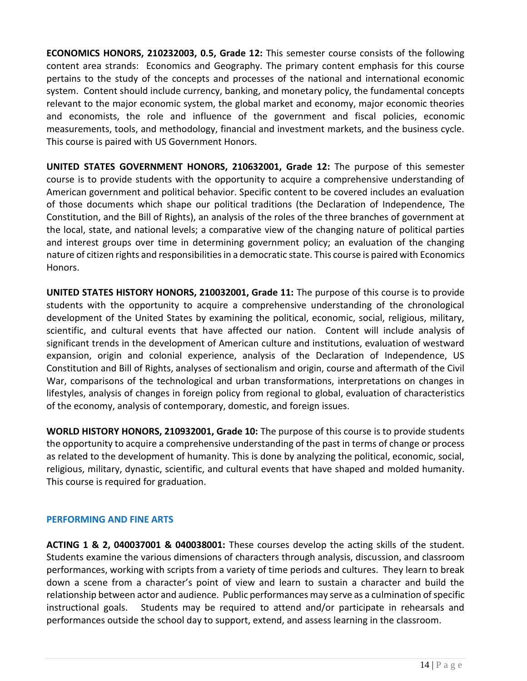**ECONOMICS HONORS, 210232003, 0.5, Grade 12:** This semester course consists of the following content area strands: Economics and Geography. The primary content emphasis for this course pertains to the study of the concepts and processes of the national and international economic system. Content should include currency, banking, and monetary policy, the fundamental concepts relevant to the major economic system, the global market and economy, major economic theories and economists, the role and influence of the government and fiscal policies, economic measurements, tools, and methodology, financial and investment markets, and the business cycle. This course is paired with US Government Honors.

**UNITED STATES GOVERNMENT HONORS, 210632001, Grade 12:** The purpose of this semester course is to provide students with the opportunity to acquire a comprehensive understanding of American government and political behavior. Specific content to be covered includes an evaluation of those documents which shape our political traditions (the Declaration of Independence, The Constitution, and the Bill of Rights), an analysis of the roles of the three branches of government at the local, state, and national levels; a comparative view of the changing nature of political parties and interest groups over time in determining government policy; an evaluation of the changing nature of citizen rights and responsibilities in a democratic state. This course is paired with Economics Honors.

**UNITED STATES HISTORY HONORS, 210032001, Grade 11:** The purpose of this course is to provide students with the opportunity to acquire a comprehensive understanding of the chronological development of the United States by examining the political, economic, social, religious, military, scientific, and cultural events that have affected our nation. Content will include analysis of significant trends in the development of American culture and institutions, evaluation of westward expansion, origin and colonial experience, analysis of the Declaration of Independence, US Constitution and Bill of Rights, analyses of sectionalism and origin, course and aftermath of the Civil War, comparisons of the technological and urban transformations, interpretations on changes in lifestyles, analysis of changes in foreign policy from regional to global, evaluation of characteristics of the economy, analysis of contemporary, domestic, and foreign issues.

**WORLD HISTORY HONORS, 210932001, Grade 10:** The purpose of this course is to provide students the opportunity to acquire a comprehensive understanding of the past in terms of change or process as related to the development of humanity. This is done by analyzing the political, economic, social, religious, military, dynastic, scientific, and cultural events that have shaped and molded humanity. This course is required for graduation.

#### **PERFORMING AND FINE ARTS**

**ACTING 1 & 2, 040037001 & 040038001:** These courses develop the acting skills of the student. Students examine the various dimensions of characters through analysis, discussion, and classroom performances, working with scripts from a variety of time periods and cultures. They learn to break down a scene from a character's point of view and learn to sustain a character and build the relationship between actor and audience. Public performances may serve as a culmination of specific instructional goals. Students may be required to attend and/or participate in rehearsals and performances outside the school day to support, extend, and assess learning in the classroom.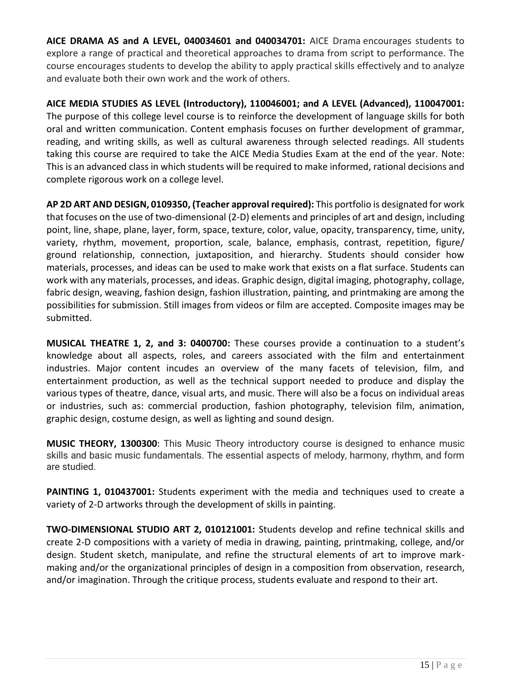**AICE DRAMA AS and A LEVEL, 040034601 and 040034701:** AICE Drama encourages students to explore a range of practical and theoretical approaches to drama from script to performance. The course encourages students to develop the ability to apply practical skills effectively and to analyze and evaluate both their own work and the work of others.

**AICE MEDIA STUDIES AS LEVEL (Introductory), 110046001; and A LEVEL (Advanced), 110047001:**  The purpose of this college level course is to reinforce the development of language skills for both oral and written communication. Content emphasis focuses on further development of grammar, reading, and writing skills, as well as cultural awareness through selected readings. All students taking this course are required to take the AICE Media Studies Exam at the end of the year. Note: This is an advanced class in which students will be required to make informed, rational decisions and complete rigorous work on a college level.

**AP 2D ART AND DESIGN, 0109350, (Teacher approval required):** This portfolio is designated for work that focuses on the use of two-dimensional (2-D) elements and principles of art and design, including point, line, shape, plane, layer, form, space, texture, color, value, opacity, transparency, time, unity, variety, rhythm, movement, proportion, scale, balance, emphasis, contrast, repetition, figure/ ground relationship, connection, juxtaposition, and hierarchy. Students should consider how materials, processes, and ideas can be used to make work that exists on a flat surface. Students can work with any materials, processes, and ideas. Graphic design, digital imaging, photography, collage, fabric design, weaving, fashion design, fashion illustration, painting, and printmaking are among the possibilities for submission. Still images from videos or film are accepted. Composite images may be submitted.

**MUSICAL THEATRE 1, 2, and 3: 0400700:** These courses provide a continuation to a student's knowledge about all aspects, roles, and careers associated with the film and entertainment industries. Major content incudes an overview of the many facets of television, film, and entertainment production, as well as the technical support needed to produce and display the various types of theatre, dance, visual arts, and music. There will also be a focus on individual areas or industries, such as: commercial production, fashion photography, television film, animation, graphic design, costume design, as well as lighting and sound design.

**MUSIC THEORY, 1300300**: This Music Theory introductory course is designed to enhance music skills and basic music fundamentals. The essential aspects of melody, harmony, rhythm, and form are studied.

**PAINTING 1, 010437001:** Students experiment with the media and techniques used to create a variety of 2-D artworks through the development of skills in painting.

**TWO-DIMENSIONAL STUDIO ART 2, 010121001:** Students develop and refine technical skills and create 2-D compositions with a variety of media in drawing, painting, printmaking, college, and/or design. Student sketch, manipulate, and refine the structural elements of art to improve markmaking and/or the organizational principles of design in a composition from observation, research, and/or imagination. Through the critique process, students evaluate and respond to their art.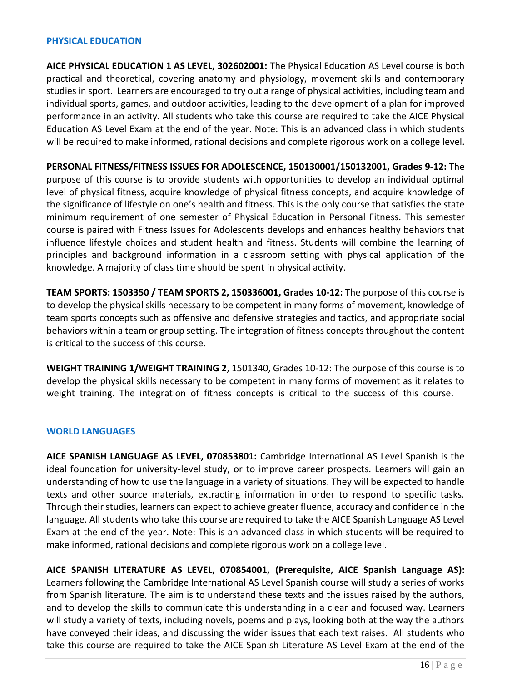#### **PHYSICAL EDUCATION**

**AICE PHYSICAL EDUCATION 1 AS LEVEL, 302602001:** The Physical Education AS Level course is both practical and theoretical, covering anatomy and physiology, movement skills and contemporary studies in sport. Learners are encouraged to try out a range of physical activities, including team and individual sports, games, and outdoor activities, leading to the development of a plan for improved performance in an activity. All students who take this course are required to take the AICE Physical Education AS Level Exam at the end of the year. Note: This is an advanced class in which students will be required to make informed, rational decisions and complete rigorous work on a college level.

**PERSONAL FITNESS/FITNESS ISSUES FOR ADOLESCENCE, 150130001/150132001, Grades 9-12:** The purpose of this course is to provide students with opportunities to develop an individual optimal level of physical fitness, acquire knowledge of physical fitness concepts, and acquire knowledge of the significance of lifestyle on one's health and fitness. This is the only course that satisfies the state minimum requirement of one semester of Physical Education in Personal Fitness. This semester course is paired with Fitness Issues for Adolescents develops and enhances healthy behaviors that influence lifestyle choices and student health and fitness. Students will combine the learning of principles and background information in a classroom setting with physical application of the knowledge. A majority of class time should be spent in physical activity.

**TEAM SPORTS: 1503350 / TEAM SPORTS 2, 150336001, Grades 10-12:** The purpose of this course is to develop the physical skills necessary to be competent in many forms of movement, knowledge of team sports concepts such as offensive and defensive strategies and tactics, and appropriate social behaviors within a team or group setting. The integration of fitness concepts throughout the content is critical to the success of this course.

**WEIGHT TRAINING 1/WEIGHT TRAINING 2**, 1501340, Grades 10-12: The purpose of this course is to develop the physical skills necessary to be competent in many forms of movement as it relates to weight training. The integration of fitness concepts is critical to the success of this course.

#### **WORLD LANGUAGES**

**AICE SPANISH LANGUAGE AS LEVEL, 070853801:** Cambridge International AS Level Spanish is the ideal foundation for university-level study, or to improve career prospects. Learners will gain an understanding of how to use the language in a variety of situations. They will be expected to handle texts and other source materials, extracting information in order to respond to specific tasks. Through their studies, learners can expect to achieve greater fluence, accuracy and confidence in the language. All students who take this course are required to take the AICE Spanish Language AS Level Exam at the end of the year. Note: This is an advanced class in which students will be required to make informed, rational decisions and complete rigorous work on a college level.

**AICE SPANISH LITERATURE AS LEVEL, 070854001, (Prerequisite, AICE Spanish Language AS):**  Learners following the Cambridge International AS Level Spanish course will study a series of works from Spanish literature. The aim is to understand these texts and the issues raised by the authors, and to develop the skills to communicate this understanding in a clear and focused way. Learners will study a variety of texts, including novels, poems and plays, looking both at the way the authors have conveyed their ideas, and discussing the wider issues that each text raises. All students who take this course are required to take the AICE Spanish Literature AS Level Exam at the end of the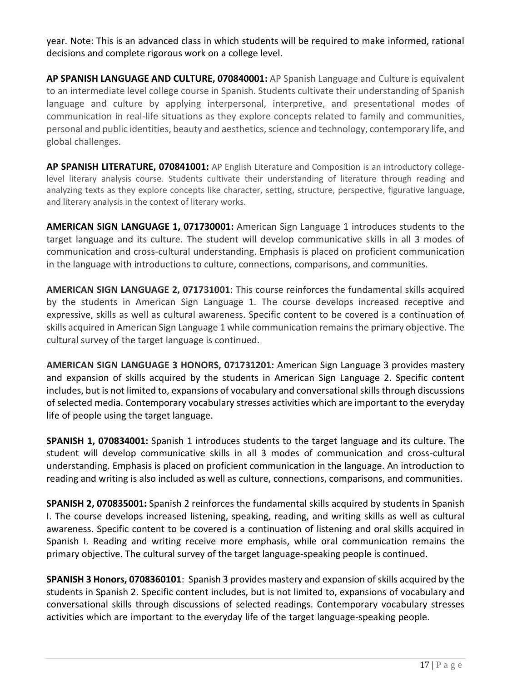year. Note: This is an advanced class in which students will be required to make informed, rational decisions and complete rigorous work on a college level.

**AP SPANISH LANGUAGE AND CULTURE, 070840001:** AP Spanish Language and Culture is equivalent to an intermediate level college course in Spanish. Students cultivate their understanding of Spanish language and culture by applying interpersonal, interpretive, and presentational modes of communication in real-life situations as they explore concepts related to family and communities, personal and public identities, beauty and aesthetics, science and technology, contemporary life, and global challenges.

**AP SPANISH LITERATURE, 070841001:** AP English Literature and Composition is an introductory collegelevel literary analysis course. Students cultivate their understanding of literature through reading and analyzing texts as they explore concepts like character, setting, structure, perspective, figurative language, and literary analysis in the context of literary works.

**AMERICAN SIGN LANGUAGE 1, 071730001:** American Sign Language 1 introduces students to the target language and its culture. The student will develop communicative skills in all 3 modes of communication and cross-cultural understanding. Emphasis is placed on proficient communication in the language with introductions to culture, connections, comparisons, and communities.

**AMERICAN SIGN LANGUAGE 2, 071731001**: This course reinforces the fundamental skills acquired by the students in American Sign Language 1. The course develops increased receptive and expressive, skills as well as cultural awareness. Specific content to be covered is a continuation of skills acquired in American Sign Language 1 while communication remains the primary objective. The cultural survey of the target language is continued.

**AMERICAN SIGN LANGUAGE 3 HONORS, 071731201:** American Sign Language 3 provides mastery and expansion of skills acquired by the students in American Sign Language 2. Specific content includes, but is not limited to, expansions of vocabulary and conversational skills through discussions of selected media. Contemporary vocabulary stresses activities which are important to the everyday life of people using the target language.

**SPANISH 1, 070834001:** Spanish 1 introduces students to the target language and its culture. The student will develop communicative skills in all 3 modes of communication and cross-cultural understanding. Emphasis is placed on proficient communication in the language. An introduction to reading and writing is also included as well as culture, connections, comparisons, and communities.

**SPANISH 2, 070835001:** Spanish 2 reinforces the fundamental skills acquired by students in Spanish I. The course develops increased listening, speaking, reading, and writing skills as well as cultural awareness. Specific content to be covered is a continuation of listening and oral skills acquired in Spanish I. Reading and writing receive more emphasis, while oral communication remains the primary objective. The cultural survey of the target language-speaking people is continued.

**SPANISH 3 Honors, 0708360101**: Spanish 3 provides mastery and expansion of skills acquired by the students in Spanish 2. Specific content includes, but is not limited to, expansions of vocabulary and conversational skills through discussions of selected readings. Contemporary vocabulary stresses activities which are important to the everyday life of the target language-speaking people.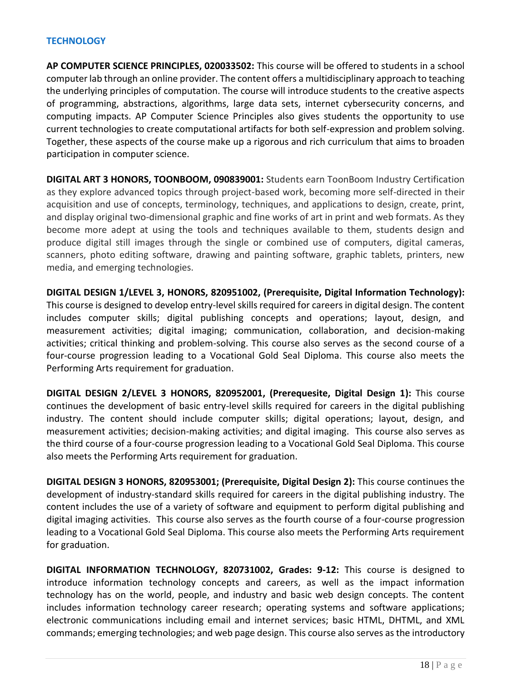#### **TECHNOLOGY**

**AP COMPUTER SCIENCE PRINCIPLES, 020033502:** This course will be offered to students in a school computer lab through an online provider. The content offers a multidisciplinary approach to teaching the underlying principles of computation. The course will introduce students to the creative aspects of programming, abstractions, algorithms, large data sets, internet cybersecurity concerns, and computing impacts. AP Computer Science Principles also gives students the opportunity to use current technologies to create computational artifacts for both self-expression and problem solving. Together, these aspects of the course make up a rigorous and rich curriculum that aims to broaden participation in computer science.

**DIGITAL ART 3 HONORS, TOONBOOM, 090839001:** Students earn ToonBoom Industry Certification as they explore advanced topics through project-based work, becoming more self-directed in their acquisition and use of concepts, terminology, techniques, and applications to design, create, print, and display original two-dimensional graphic and fine works of art in print and web formats. As they become more adept at using the tools and techniques available to them, students design and produce digital still images through the single or combined use of computers, digital cameras, scanners, photo editing software, drawing and painting software, graphic tablets, printers, new media, and emerging technologies.

**DIGITAL DESIGN 1/LEVEL 3, HONORS, 820951002, (Prerequisite, Digital Information Technology):**  This course is designed to develop entry-level skills required for careers in digital design. The content includes computer skills; digital publishing concepts and operations; layout, design, and measurement activities; digital imaging; communication, collaboration, and decision-making activities; critical thinking and problem-solving. This course also serves as the second course of a four-course progression leading to a Vocational Gold Seal Diploma. This course also meets the Performing Arts requirement for graduation.

**DIGITAL DESIGN 2/LEVEL 3 HONORS, 820952001, (Prerequesite, Digital Design 1):** This course continues the development of basic entry-level skills required for careers in the digital publishing industry. The content should include computer skills; digital operations; layout, design, and measurement activities; decision-making activities; and digital imaging. This course also serves as the third course of a four-course progression leading to a Vocational Gold Seal Diploma. This course also meets the Performing Arts requirement for graduation.

**DIGITAL DESIGN 3 HONORS, 820953001; (Prerequisite, Digital Design 2):** This course continues the development of industry-standard skills required for careers in the digital publishing industry. The content includes the use of a variety of software and equipment to perform digital publishing and digital imaging activities. This course also serves as the fourth course of a four-course progression leading to a Vocational Gold Seal Diploma. This course also meets the Performing Arts requirement for graduation.

**DIGITAL INFORMATION TECHNOLOGY, 820731002, Grades: 9-12:** This course is designed to introduce information technology concepts and careers, as well as the impact information technology has on the world, people, and industry and basic web design concepts. The content includes information technology career research; operating systems and software applications; electronic communications including email and internet services; basic HTML, DHTML, and XML commands; emerging technologies; and web page design. This course also serves as the introductory